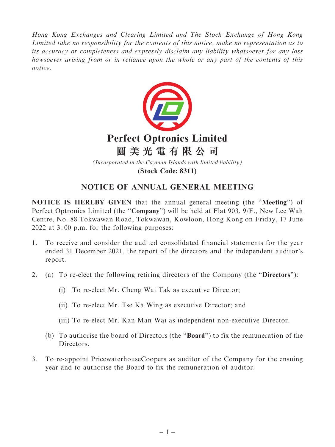Hong Kong Exchanges and Clearing Limited and The Stock Exchange of Hong Kong Limited take no responsibility for the contents of this notice, make no representation as to its accuracy or completeness and expressly disclaim any liability whatsoever for any loss howsoever arising from or in reliance upon the whole or any part of the contents of this notice.



# NOTICE OF ANNUAL GENERAL MEETING

NOTICE IS HEREBY GIVEN that the annual general meeting (the ''Meeting'') of Perfect Optronics Limited (the "Company") will be held at Flat 903, 9/F., New Lee Wah Centre, No. 88 Tokwawan Road, Tokwawan, Kowloon, Hong Kong on Friday, 17 June 2022 at 3: 00 p.m. for the following purposes:

- 1. To receive and consider the audited consolidated financial statements for the year ended 31 December 2021, the report of the directors and the independent auditor's report.
- 2. (a) To re-elect the following retiring directors of the Company (the ''Directors''):
	- (i) To re-elect Mr. Cheng Wai Tak as executive Director;
	- (ii) To re-elect Mr. Tse Ka Wing as executive Director; and
	- (iii) To re-elect Mr. Kan Man Wai as independent non-executive Director.
	- (b) To authorise the board of Directors (the ''Board'') to fix the remuneration of the Directors.
- 3. To re-appoint PricewaterhouseCoopers as auditor of the Company for the ensuing year and to authorise the Board to fix the remuneration of auditor.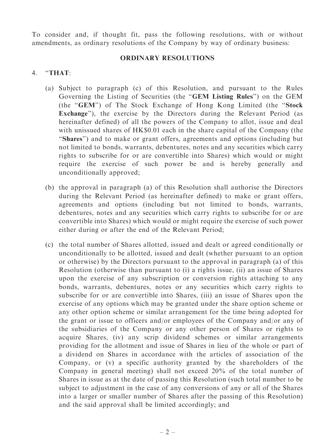To consider and, if thought fit, pass the following resolutions, with or without amendments, as ordinary resolutions of the Company by way of ordinary business:

#### ORDINARY RESOLUTIONS

#### 4. ''THAT:

- (a) Subject to paragraph (c) of this Resolution, and pursuant to the Rules Governing the Listing of Securities (the ''GEM Listing Rules'') on the GEM (the ''GEM'') of The Stock Exchange of Hong Kong Limited (the ''Stock Exchange"), the exercise by the Directors during the Relevant Period (as hereinafter defined) of all the powers of the Company to allot, issue and deal with unissued shares of HK\$0.01 each in the share capital of the Company (the "Shares") and to make or grant offers, agreements and options (including but not limited to bonds, warrants, debentures, notes and any securities which carry rights to subscribe for or are convertible into Shares) which would or might require the exercise of such power be and is hereby generally and unconditionally approved;
- (b) the approval in paragraph (a) of this Resolution shall authorise the Directors during the Relevant Period (as hereinafter defined) to make or grant offers, agreements and options (including but not limited to bonds, warrants, debentures, notes and any securities which carry rights to subscribe for or are convertible into Shares) which would or might require the exercise of such power either during or after the end of the Relevant Period;
- (c) the total number of Shares allotted, issued and dealt or agreed conditionally or unconditionally to be allotted, issued and dealt (whether pursuant to an option or otherwise) by the Directors pursuant to the approval in paragraph (a) of this Resolution (otherwise than pursuant to (i) a rights issue, (ii) an issue of Shares upon the exercise of any subscription or conversion rights attaching to any bonds, warrants, debentures, notes or any securities which carry rights to subscribe for or are convertible into Shares, (iii) an issue of Shares upon the exercise of any options which may be granted under the share option scheme or any other option scheme or similar arrangement for the time being adopted for the grant or issue to officers and/or employees of the Company and/or any of the subsidiaries of the Company or any other person of Shares or rights to acquire Shares, (iv) any scrip dividend schemes or similar arrangements providing for the allotment and issue of Shares in lieu of the whole or part of a dividend on Shares in accordance with the articles of association of the Company, or (v) a specific authority granted by the shareholders of the Company in general meeting) shall not exceed 20% of the total number of Shares in issue as at the date of passing this Resolution (such total number to be subject to adjustment in the case of any conversions of any or all of the Shares into a larger or smaller number of Shares after the passing of this Resolution) and the said approval shall be limited accordingly; and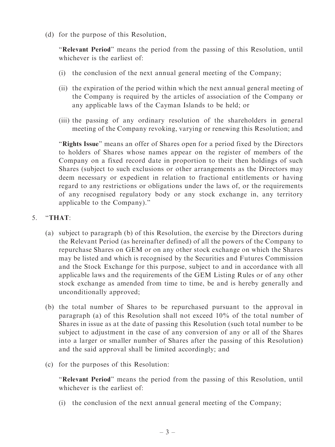(d) for the purpose of this Resolution,

"Relevant Period" means the period from the passing of this Resolution, until whichever is the earliest of:

- (i) the conclusion of the next annual general meeting of the Company;
- (ii) the expiration of the period within which the next annual general meeting of the Company is required by the articles of association of the Company or any applicable laws of the Cayman Islands to be held; or
- (iii) the passing of any ordinary resolution of the shareholders in general meeting of the Company revoking, varying or renewing this Resolution; and

''Rights Issue'' means an offer of Shares open for a period fixed by the Directors to holders of Shares whose names appear on the register of members of the Company on a fixed record date in proportion to their then holdings of such Shares (subject to such exclusions or other arrangements as the Directors may deem necessary or expedient in relation to fractional entitlements or having regard to any restrictions or obligations under the laws of, or the requirements of any recognised regulatory body or any stock exchange in, any territory applicable to the Company).''

## 5. ''THAT:

- (a) subject to paragraph (b) of this Resolution, the exercise by the Directors during the Relevant Period (as hereinafter defined) of all the powers of the Company to repurchase Shares on GEM or on any other stock exchange on which the Shares may be listed and which is recognised by the Securities and Futures Commission and the Stock Exchange for this purpose, subject to and in accordance with all applicable laws and the requirements of the GEM Listing Rules or of any other stock exchange as amended from time to time, be and is hereby generally and unconditionally approved;
- (b) the total number of Shares to be repurchased pursuant to the approval in paragraph (a) of this Resolution shall not exceed 10% of the total number of Shares in issue as at the date of passing this Resolution (such total number to be subject to adjustment in the case of any conversion of any or all of the Shares into a larger or smaller number of Shares after the passing of this Resolution) and the said approval shall be limited accordingly; and
- (c) for the purposes of this Resolution:

"Relevant Period" means the period from the passing of this Resolution, until whichever is the earliest of

(i) the conclusion of the next annual general meeting of the Company;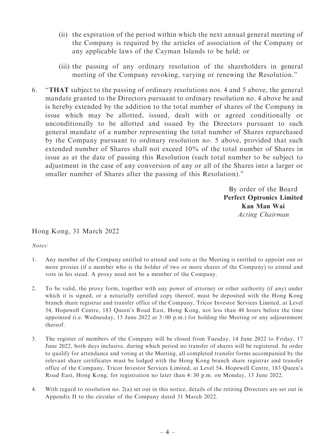- (ii) the expiration of the period within which the next annual general meeting of the Company is required by the articles of association of the Company or any applicable laws of the Cayman Islands to be held; or
- (iii) the passing of any ordinary resolution of the shareholders in general meeting of the Company revoking, varying or renewing the Resolution.''
- 6. ''THAT subject to the passing of ordinary resolutions nos. 4 and 5 above, the general mandate granted to the Directors pursuant to ordinary resolution no. 4 above be and is hereby extended by the addition to the total number of shares of the Company in issue which may be allotted, issued, dealt with or agreed conditionally or unconditionally to be allotted and issued by the Directors pursuant to such general mandate of a number representing the total number of Shares repurchased by the Company pursuant to ordinary resolution no. 5 above, provided that such extended number of Shares shall not exceed 10% of the total number of Shares in issue as at the date of passing this Resolution (such total number to be subject to adjustment in the case of any conversion of any or all of the Shares into a larger or smaller number of Shares after the passing of this Resolution).''

By order of the Board Perfect Optronics Limited Kan Man Wai Acting Chairman

### Hong Kong, 31 March 2022

Notes:

- 1. Any member of the Company entitled to attend and vote at the Meeting is entitled to appoint one or more proxies (if a member who is the holder of two or more shares of the Company) to attend and vote in his stead. A proxy need not be a member of the Company.
- 2. To be valid, the proxy form, together with any power of attorney or other authority (if any) under which it is signed, or a notarially certified copy thereof, must be deposited with the Hong Kong branch share registrar and transfer office of the Company, Tricor Investor Services Limited, at Level 54, Hopewell Centre, 183 Queen's Road East, Hong Kong, not less than 48 hours before the time appointed (i.e. Wednesday, 15 June 2022 at 3: 00 p.m.) for holding the Meeting or any adjournment thereof.
- 3. The register of members of the Company will be closed from Tuesday, 14 June 2022 to Friday, 17 June 2022, both days inclusive, during which period no transfer of shares will be registered. In order to qualify for attendance and voting at the Meeting, all completed transfer forms accompanied by the relevant share certificates must be lodged with the Hong Kong branch share registrar and transfer office of the Company, Tricor Investor Services Limited, at Level 54, Hopewell Centre, 183 Queen's Road East, Hong Kong, for registration no later than 4: 30 p.m. on Monday, 13 June 2022.
- 4. With regard to resolution no. 2(a) set out in this notice, details of the retiring Directors are set out in Appendix II to the circular of the Company dated 31 March 2022.